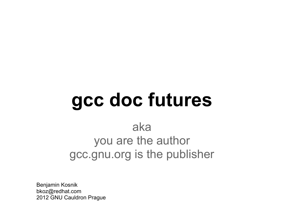# **gcc doc futures**

aka you are the author gcc.gnu.org is the publisher

Benjamin Kosnik bkoz@redhat.com 2012 GNU Cauldron Prague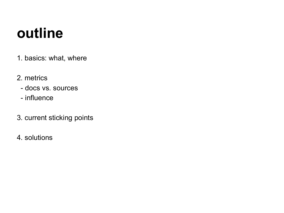## **outline**

- 1. basics: what, where
- 2. metrics
	- docs vs. sources
	- influence
- 3. current sticking points
- 4. solutions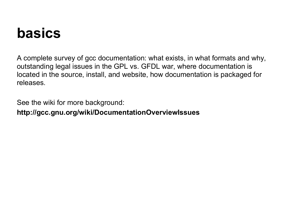## **basics**

A complete survey of gcc documentation: what exists, in what formats and why, outstanding legal issues in the GPL vs. GFDL war, where documentation is located in the source, install, and website, how documentation is packaged for releases.

See the wiki for more background:

**http://gcc.gnu.org/wiki/DocumentationOverviewIssues**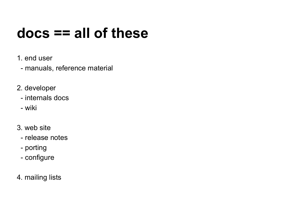## **docs == all of these**

- 1. end user
	- manuals, reference material
- 2. developer
	- internals docs
	- wiki
- 3. web site
	- release notes
	- porting
	- configure
- 4. mailing lists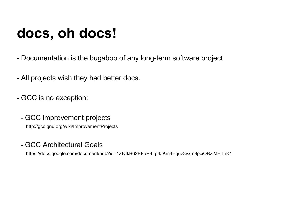## **docs, oh docs!**

- Documentation is the bugaboo of any long-term software project.
- All projects wish they had better docs.
- GCC is no exception:
	- GCC improvement projects

http://gcc.gnu.org/wiki/ImprovementProjects

- GCC Architectural Goals

https://docs.google.com/document/pub?id=1ZfyfkB62EFaR4\_g4JKm4--guz3vxm9pciOBziMHTnK4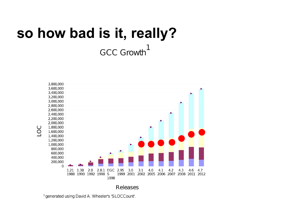## **so how bad is it, really?**GCC Growth<sup>1</sup>



<sup>1</sup> generated using David A. Wheeler's 'SLOCCount'.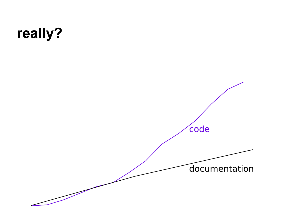## **really?**

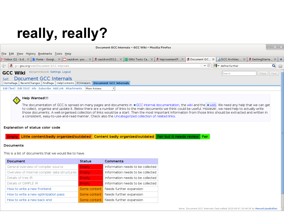## **really, really?**

| Document GCC Internals - GCC Wiki - Mozilla Firefox                                                                                                                                              |                 |           |
|--------------------------------------------------------------------------------------------------------------------------------------------------------------------------------------------------|-----------------|-----------|
| File Edit View History Bookmarks Tools Help                                                                                                                                                      |                 |           |
| Minbox (1) - b.d ※ Li Home - Googl ※   I cauldron: you  ※   2 cauldron2012 ※   T GNU Tools Ca ※   2 cmprovementP ※   2 Document GC ※   4 Document GC ※   4 GCC Architec ※   2 GCC Architec ※   2 |                 |           |
| $\forall \vee \textcircled{s}$ $\& \forall$ define: further<br>Co & gcc.gnu.org/wiki/Document GCC Internals                                                                                      |                 | $\bullet$ |
| BenjaminKosnik Settings Logout<br><b>GCC Wiki</b><br>Search                                                                                                                                      | $Titles$ Titles |           |
| Document GCC Internals<br>Self:<br>HomePage    RecentChanges    FindPage    HelpContents    PCHHaters    Document GCC Internals                                                                  |                 |           |
| Edit (Text) Edit (GUI) Info Subscribe Add Link Attachments   More Actions:                                                                                                                       |                 |           |



#### Help Wanted!!!

The documentation of GCC is spread on many pages and documents in  $\bullet$  GCC internal documentation, the wiki and the  $\bullet$  web. We need any help that we can get to collect, organise and update it. Below there are a number of links to the main documents we think could be useful. However, we need help to actually write those documents. A well-organised collection of links would be a start. Then the most important information from those links should be extracted and written in a consistent, easy-to-use-and-read manner. Check also the Uncategorized collection of related links.

#### Explanation of status color code

Little content/badly organized/outdated Content badly organized/outdated Fair but it needs review Fair

#### Documents

This is a list of documents that we would like to have.

| Document                                      | <b>Status</b> | Comments                             |
|-----------------------------------------------|---------------|--------------------------------------|
| General overview of compiler source           | Empty:        | Information needs to be collected    |
| Overview of internal compiler data structures | Empty         | Information needs to be collected    |
| Details of tree IR                            | Empty         | Information needs to be collected    |
| Details of GIMPLE IR                          | <b>Empty</b>  | Information needs to be collected    |
| How to write a new frontend                   | Some content  | Needs further expansion              |
| How to write a new optimization pass          |               | Some content Needs further expansion |
| How to write a new back end                   |               | Some content Needs further expansion |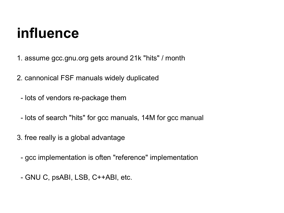## **influence**

- 1. assume gcc.gnu.org gets around 21k "hits" / month
- 2. cannonical FSF manuals widely duplicated
	- lots of vendors re-package them
	- lots of search "hits" for gcc manuals, 14M for gcc manual
- 3. free really is a global advantage
	- gcc implementation is often "reference" implementation
	- GNU C, psABI, LSB, C++ABI, etc.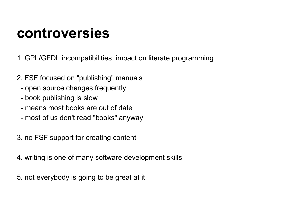### **controversies**

1. GPL/GFDL incompatibilities, impact on literate programming

- 2. FSF focused on "publishing" manuals
	- open source changes frequently
	- book publishing is slow
	- means most books are out of date
	- most of us don't read "books" anyway
- 3. no FSF support for creating content
- 4. writing is one of many software development skills
- 5. not everybody is going to be great at it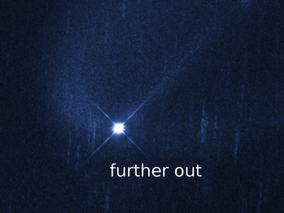## further out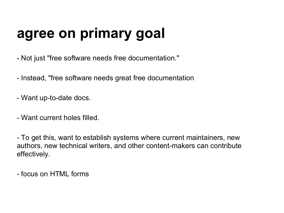## **agree on primary goal**

- Not just "free software needs free documentation."
- Instead, "free software needs great free documentation
- Want up-to-date docs.
- Want current holes filled.

- To get this, want to establish systems where current maintainers, new authors, new technical writers, and other content-makers can contribute effectively.

- focus on HTML forms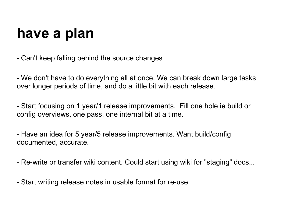## **have a plan**

- Can't keep falling behind the source changes

- We don't have to do everything all at once. We can break down large tasks over longer periods of time, and do a little bit with each release.

- Start focusing on 1 year/1 release improvements. Fill one hole ie build or config overviews, one pass, one internal bit at a time.

- Have an idea for 5 year/5 release improvements. Want build/config documented, accurate.

- Re-write or transfer wiki content. Could start using wiki for "staging" docs...

- Start writing release notes in usable format for re-use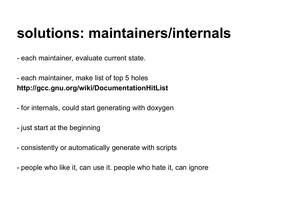## **solutions: maintainers/internals**

- each maintainer, evaluate current state.

- each maintainer, make list of top 5 holes **http://gcc.gnu.org/wiki/DocumentationHitList**

- for internals, could start generating with doxygen
- just start at the beginning
- consistently or automatically generate with scripts
- people who like it, can use it. people who hate it, can ignore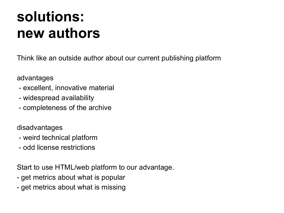## **solutions: new authors**

Think like an outside author about our current publishing platform

### advantages

- excellent, innovative material
- widespread availability
- completeness of the archive

disadvantages

- weird technical platform
- odd license restrictions

Start to use HTML/web platform to our advantage.

- get metrics about what is popular
- get metrics about what is missing